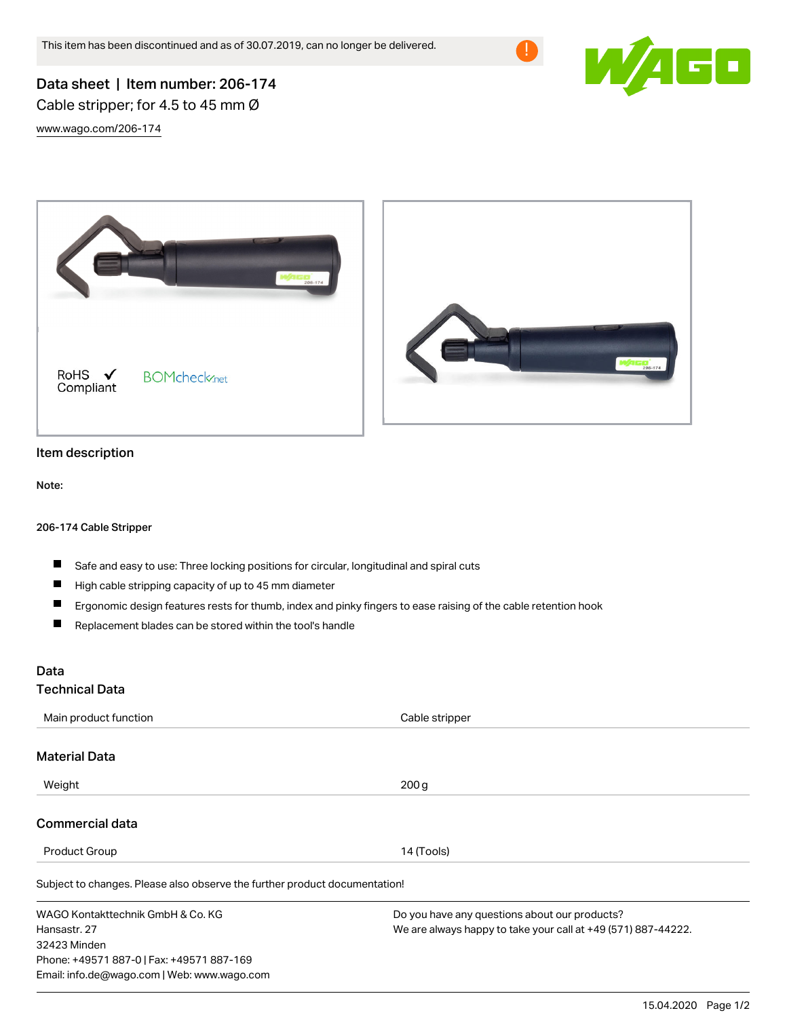



# Data sheet | Item number: 206-174 Cable stripper; for 4.5 to 45 mm Ø

[www.wago.com/206-174](http://www.wago.com/206-174)



## Item description

Note:

#### 206-174 Cable Stripper

- $\blacksquare$ Safe and easy to use: Three locking positions for circular, longitudinal and spiral cuts
- $\blacksquare$ High cable stripping capacity of up to 45 mm diameter

Email: info.de@wago.com | Web: www.wago.com

- Ergonomic design features rests for thumb, index and pinky fingers to ease raising of the cable retention hook  $\blacksquare$
- $\blacksquare$ Replacement blades can be stored within the tool's handle

### Data

#### Technical Data

| Main product function                                                      | Cable stripper                                                |
|----------------------------------------------------------------------------|---------------------------------------------------------------|
| <b>Material Data</b>                                                       |                                                               |
| Weight                                                                     | 200 <sub>g</sub>                                              |
| Commercial data                                                            |                                                               |
| <b>Product Group</b>                                                       | 14 (Tools)                                                    |
| Subject to changes. Please also observe the further product documentation! |                                                               |
| WAGO Kontakttechnik GmbH & Co. KG                                          | Do you have any questions about our products?                 |
| Hansastr, 27                                                               | We are always happy to take your call at +49 (571) 887-44222. |
| 32423 Minden                                                               |                                                               |
| Phone: +49571 887-0   Fax: +49571 887-169                                  |                                                               |